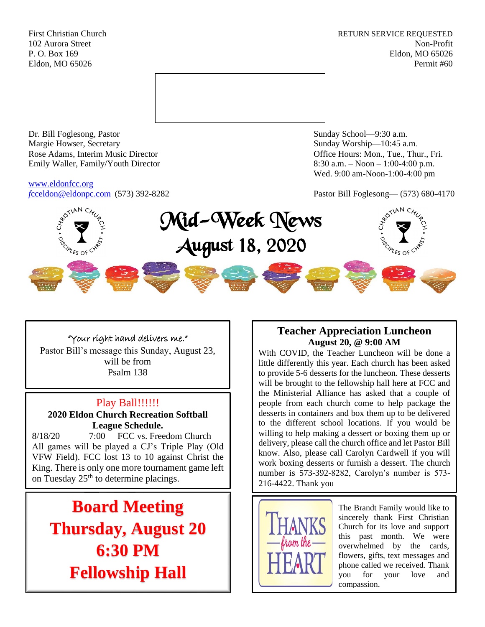First Christian Church **RETURN SERVICE REQUESTED** 102 Aurora Street Non-Profit P. O. Box 169 Eldon, MO 65026 Eldon, MO 65026 Permit #60



Dr. Bill Foglesong, Pastor Sunday School—9:30 a.m. Margie Howser, Secretary Sunday Worship—10:45 a.m. Rose Adams, Interim Music Director **Containers** Controller and Controller Controller Controller Controller and Controller Controller Controller and Controller and Controller and Controller and Controller and Controller and Emily Waller, Family/Youth Director 8:30 a.m. – Noon – 1:00-4:00 p.m.

# [www.eldonfcc.org](http://www.eldonfcc.org/)

Wed. 9:00 am-Noon-1:00-4:00 pm

*f*[cceldon@eldonpc.com](mailto:fcceldon@eldonpc.com) (573) 392-8282 Pastor Bill Foglesong— (573) 680-4170



# "Your right hand delivers me."

Pastor Bill's message this Sunday, August 23, will be from Psalm 138

# Play Ball!!!!!!!

**2020 Eldon Church Recreation Softball League Schedule.**

8/18/20 7:00 FCC vs. Freedom Church All games will be played a CJ's Triple Play (Old VFW Field). FCC lost 13 to 10 against Christ the King. There is only one more tournament game left on Tuesday 25<sup>th</sup> to determine placings.

**Board Meeting Thursday, August 20 6:30 PM Fellowship Hall**

# **Teacher Appreciation Luncheon August 20, @ 9:00 AM**

With COVID, the Teacher Luncheon will be done a little differently this year. Each church has been asked to provide 5-6 desserts for the luncheon. These desserts will be brought to the fellowship hall here at FCC and the Ministerial Alliance has asked that a couple of people from each church come to help package the desserts in containers and box them up to be delivered to the different school locations. If you would be willing to help making a dessert or boxing them up or delivery, please call the church office and let Pastor Bill know. Also, please call Carolyn Cardwell if you will work boxing desserts or furnish a dessert. The church number is 573-392-8282, Carolyn's number is 573- 216-4422. Thank you



The Brandt Family would like to sincerely thank First Christian Church for its love and support this past month. We were overwhelmed by the cards, flowers, gifts, text messages and phone called we received. Thank you for your love and compassion.